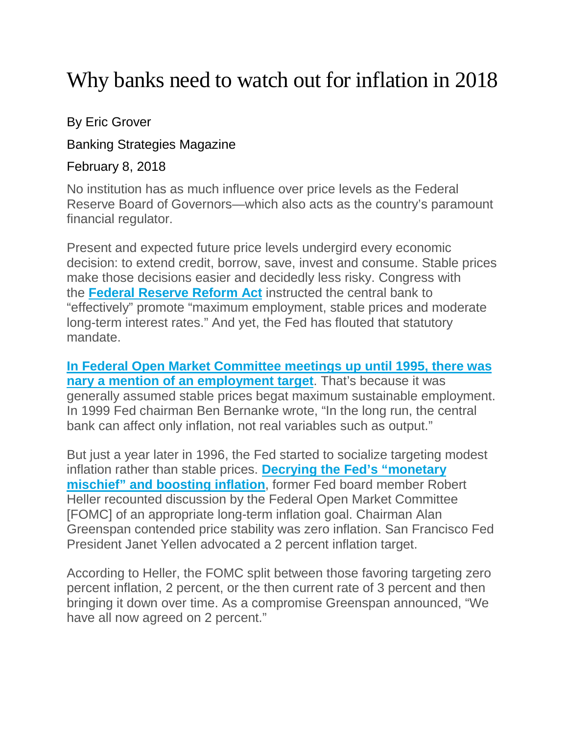## Why banks need to watch out for inflation in 2018

## By Eric Grover

Banking Strategies Magazine

## February 8, 2018

No institution has as much influence over price levels as the Federal Reserve Board of Governors—which also acts as the country's paramount financial regulator.

Present and expected future price levels undergird every economic decision: to extend credit, borrow, save, invest and consume. Stable prices make those decisions easier and decidedly less risky. Congress with the **[Federal Reserve Reform Act](https://fraser.stlouisfed.org/scribd/?title_id=1040&filepath=/files/docs/historical/congressional/federal-reserve-reform-1977.pdf)** instructed the central bank to "effectively" promote "maximum employment, stable prices and moderate long-term interest rates." And yet, the Fed has flouted that statutory mandate.

**[In Federal Open Market Committee meetings up until 1995, there was](https://files.stlouisfed.org/files/htdocs/publications/review/12/03/117-134Thornton.pdf?utm_campaign=Twitter&utm_medium=SM&utm_source=Twitter)  [nary a mention of an employment target](https://files.stlouisfed.org/files/htdocs/publications/review/12/03/117-134Thornton.pdf?utm_campaign=Twitter&utm_medium=SM&utm_source=Twitter)**. That's because it was generally assumed stable prices begat maximum sustainable employment. In 1999 Fed chairman Ben Bernanke wrote, "In the long run, the central bank can affect only inflation, not real variables such as output."

But just a year later in 1996, the Fed started to socialize targeting modest inflation rather than stable prices. **[Decrying the Fed's "monetary](https://object.cato.org/sites/cato.org/files/serials/files/cato-journal/2017/5/cj-v37n2-5.pdf)  [mischief" and boosting inflation](https://object.cato.org/sites/cato.org/files/serials/files/cato-journal/2017/5/cj-v37n2-5.pdf)**, former Fed board member Robert Heller recounted discussion by the Federal Open Market Committee [FOMC] of an appropriate long-term inflation goal. Chairman Alan Greenspan contended price stability was zero inflation. San Francisco Fed President Janet Yellen advocated a 2 percent inflation target.

According to Heller, the FOMC split between those favoring targeting zero percent inflation, 2 percent, or the then current rate of 3 percent and then bringing it down over time. As a compromise Greenspan announced, "We have all now agreed on 2 percent."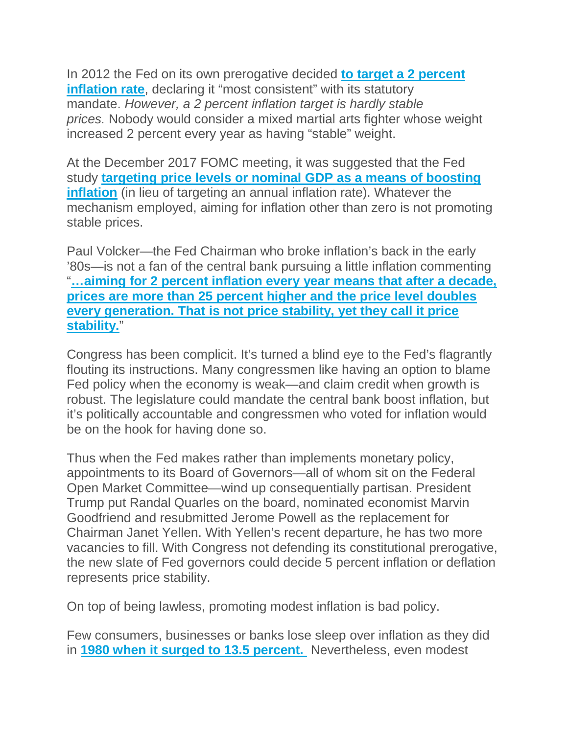In 2012 the Fed on its own prerogative decided **[to target a 2 percent](https://www.federalreserve.gov/newsevents/pressreleases/monetary20120125c.htm)  [inflation rate](https://www.federalreserve.gov/newsevents/pressreleases/monetary20120125c.htm)**, declaring it "most consistent" with its statutory mandate. *However, a 2 percent inflation target is hardly stable prices.* Nobody would consider a mixed martial arts fighter whose weight increased 2 percent every year as having "stable" weight.

At the December 2017 FOMC meeting, it was suggested that the Fed study **[targeting price levels or nominal GDP as a means of boosting](https://www.federalreserve.gov/monetarypolicy/files/fomcminutes20171213.pdf)  [inflation](https://www.federalreserve.gov/monetarypolicy/files/fomcminutes20171213.pdf)** (in lieu of targeting an annual inflation rate). Whatever the mechanism employed, aiming for inflation other than zero is not promoting stable prices.

Paul Volcker—the Fed Chairman who broke inflation's back in the early '80s—is not a fan of the central bank pursuing a little inflation commenting "**[…aiming for 2 percent inflation every year means that after a decade,](http://www.azquotes.com/quote/1371562)  [prices are more than 25 percent higher and the price level doubles](http://www.azquotes.com/quote/1371562)  [every generation. That is not price stability, yet they call it price](http://www.azquotes.com/quote/1371562)  [stability.](http://www.azquotes.com/quote/1371562)**"

Congress has been complicit. It's turned a blind eye to the Fed's flagrantly flouting its instructions. Many congressmen like having an option to blame Fed policy when the economy is weak—and claim credit when growth is robust. The legislature could mandate the central bank boost inflation, but it's politically accountable and congressmen who voted for inflation would be on the hook for having done so.

Thus when the Fed makes rather than implements monetary policy, appointments to its Board of Governors—all of whom sit on the Federal Open Market Committee—wind up consequentially partisan. President Trump put Randal Quarles on the board, nominated economist Marvin Goodfriend and resubmitted Jerome Powell as the replacement for Chairman Janet Yellen. With Yellen's recent departure, he has two more vacancies to fill. With Congress not defending its constitutional prerogative, the new slate of Fed governors could decide 5 percent inflation or deflation represents price stability.

On top of being lawless, promoting modest inflation is bad policy.

Few consumers, businesses or banks lose sleep over inflation as they did in **[1980 when it surged to 13.5 percent.](https://fred.stlouisfed.org/series/FPCPITOTLZGUSA)** Nevertheless, even modest